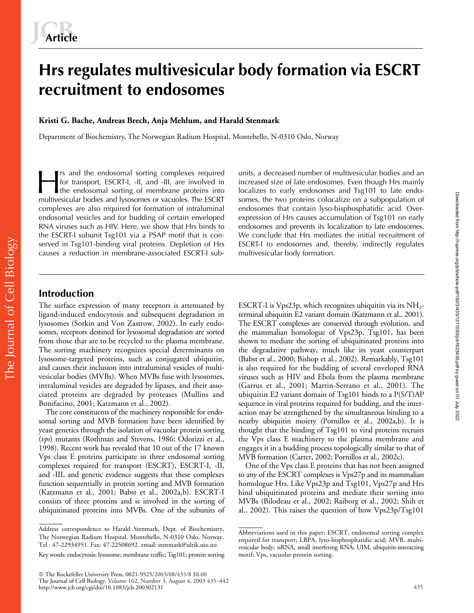# **Hrs regulates multivesicular body formation via ESCRT recruitment to endosomes**

## **Kristi G. Bache, Andreas Brech, Anja Mehlum, and Harald Stenmark**

Department of Biochemistry, The Norwegian Radium Hospital, Montebello, N-0310 Oslo, Norway

rs and the endosomal sorting complexes required for transport, ESCRT-I, -II, and -III, are involved in It is and the endosomal sorting complexes required units, a decreased number of multivesicular bodies and an increased size of late endosomes. Even though Hrs mainly the endosomal sorting of membrane proteins into localize multivesicular bodies and lysosomes or vacuoles. The ESCRT complexes are also required for formation of intraluminal endosomal vesicles and for budding of certain enveloped RNA viruses such as HIV. Here, we show that Hrs binds to the ESCRT-I subunit Tsg101 via a PSAP motif that is conserved in Tsg101-binding viral proteins. Depletion of Hrs causes a reduction in membrane-associated ESCRT-I sub-

increased size of late endosomes. Even though Hrs mainly localizes to early endosomes and Tsg101 to late endosomes, the two proteins colocalize on a subpopulation of endosomes that contain lyso-bisphosphatidic acid. Overexpression of Hrs causes accumulation of Tsg101 on early endosomes and prevents its localization to late endosomes. We conclude that Hrs mediates the initial recruitment of ESCRT-I to endosomes and, thereby, indirectly regulates multivesicular body formation.

# **Introduction**

The Journal of Cell Biology

The Journal of Cell Biology

The surface expression of many receptors is attenuated by ligand-induced endocytosis and subsequent degradation in lysosomes (Sorkin and Von Zastrow, 2002). In early endosomes, receptors destined for lysosomal degradation are sorted from those that are to be recycled to the plasma membrane. The sorting machinery recognizes special determinants on lysosome-targeted proteins, such as conjugated ubiquitin, and causes their inclusion into intraluminal vesicles of multivesicular bodies (MVBs). When MVBs fuse with lysosomes, intraluminal vesicles are degraded by lipases, and their associated proteins are degraded by proteases (Mullins and Bonifacino, 2001; Katzmann et al., 2002).

The core constituents of the machinery responsible for endosomal sorting and MVB formation have been identified by yeast genetics through the isolation of vacuolar protein sorting (*vps*) mutants (Rothman and Stevens, 1986; Odorizzi et al., 1998). Recent work has revealed that 10 out of the 17 known Vps class E proteins participate in three endosomal sorting complexes required for transport (ESCRT), ESCRT-I, -II, and -III, and genetic evidence suggests that these complexes function sequentially in protein sorting and MVB formation (Katzmann et al., 2001; Babst et al., 2002a,b). ESCRT-I consists of three proteins and is involved in the sorting of ubiquitinated proteins into MVBs. One of the subunits of ESCRT-I is Vps23p, which recognizes ubiquitin via its  $NH<sub>2</sub>$ terminal ubiquitin E2 variant domain (Katzmann et al., 2001). The ESCRT complexes are conserved through evolution, and the mammalian homologue of Vps23p, Tsg101, has been shown to mediate the sorting of ubiquitinated proteins into the degradative pathway, much like its yeast counterpart (Babst et al., 2000; Bishop et al., 2002). Remarkably, Tsg101 is also required for the budding of several enveloped RNA viruses such as HIV and Ebola from the plasma membrane (Garrus et al., 2001; Martin-Serrano et al., 2001). The ubiquitin E2 variant domain of Tsg101 binds to a P(S/T)AP sequence in viral proteins required for budding, and the interaction may be strengthened by the simultaneous binding to a nearby ubiquitin moiety (Pornillos et al., 2002a,b). It is thought that the binding of Tsg101 to viral proteins recruits the Vps class E machinery to the plasma membrane and engages it in a budding process topologically similar to that of MVB formation (Carter, 2002; Pornillos et al., 2002c).

One of the Vps class E proteins that has not been assigned to any of the ESCRT complexes is Vps27p and its mammalian homologue Hrs. Like Vps23p and Tsg101, Vps27p and Hrs bind ubiquitinated proteins and mediate their sorting into MVBs (Bilodeau et al., 2002; Raiborg et al., 2002; Shih et al., 2002). This raises the question of how Vps23p/Tsg101

Address correspondence to Harald Stenmark, Dept. of Biochemistry, The Norwegian Radium Hospital, Montebello, N-0310 Oslo, Norway. Tel.: 47-22934951. Fax: 47-22508692. email: stenmark@ulrik.uio.no

Key words: endocytosis; lysosome; membrane traffic; Tsg101; protein sorting

The Rockefeller University Press, 0021-9525/2003/08/435/8 \$8.00 The Journal of Cell Biology, Volume 162, Number 3, August 4, 2003 435–442 http://www.jcb.org/cgi/doi/10.1083/jcb.200302131

Abbreviations used in this paper: ESCRT, endosomal sorting complex required for transport; LBPA, lyso-bisphosphatidic acid; MVB, multivesicular body; siRNA, small interfering RNA; UIM, ubiquitin-interacting motif; Vps, vacuolar protein sorting.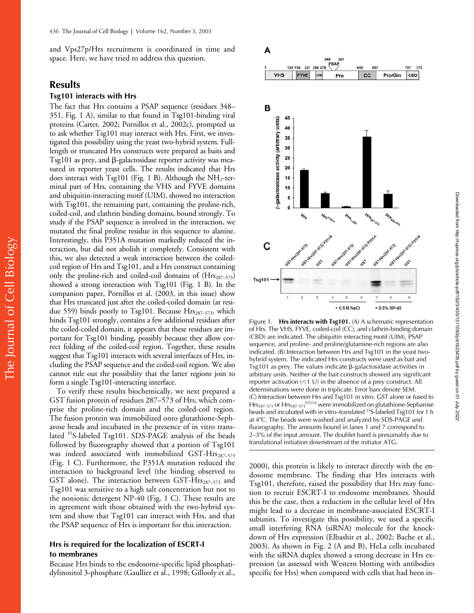and Vps27p/Hrs recruitment is coordinated in time and space. Here, we have tried to address this question.

# **Results**

The Journal of Cell Biology

The Journal of Cell Biology

## **Tsg101 interacts with Hrs**

The fact that Hrs contains a PSAP sequence (residues 348– 351, Fig. 1 A), similar to that found in Tsg101-binding viral proteins (Carter, 2002; Pornillos et al., 2002c), prompted us to ask whether Tsg101 may interact with Hrs. First, we investigated this possibility using the yeast two-hybrid system. Fulllength or truncated Hrs constructs were prepared as baits and  $Tsg101$  as prey, and  $\beta$ -galactosidase reporter activity was measured in reporter yeast cells. The results indicated that Hrs does interact with Tsg101 (Fig. 1 B). Although the  $NH<sub>2</sub>$ -terminal part of Hrs, containing the VHS and FYVE domains and ubiquitin-interacting motif (UIM), showed no interaction with Tsg101, the remaining part, containing the proline-rich, coiled-coil, and clathrin binding domains, bound strongly. To study if the PSAP sequence is involved in the interaction, we mutated the final proline residue in this sequence to alanine. Interestingly, this P351A mutation markedly reduced the interaction, but did not abolish it completely. Consistent with this, we also detected a weak interaction between the coiledcoil region of Hrs and Tsg101, and a Hrs construct containing only the proline-rich and coiled-coil domains of  $(Hrs<sub>287–573</sub>)$ showed a strong interaction with Tsg101 (Fig. 1 B). In the companion paper, Pornillos et al. (2003, in this issue) show that Hrs truncated just after the coiled-coiled domain (at residue 559) binds poorly to Tsg101. Because  $Hrs<sub>287–573</sub>$ , which binds Tsg101 strongly, contains a few additional residues after the coiled-coiled domain, it appears that these residues are important for Tsg101 binding, possibly because they allow correct folding of the coiled-coil region. Together, these results suggest that Tsg101 interacts with several interfaces of Hrs, including the PSAP sequence and the coiled-coil region. We also cannot rule out the possibility that the latter regions join to form a single Tsg101-interacting interface.

To verify these results biochemically, we next prepared a GST fusion protein of residues 287–573 of Hrs, which comprise the proline-rich domain and the coiled-coil region. The fusion protein was immobilized onto glutathione-Sepharose beads and incubated in the presence of in vitro translated <sup>35</sup>S-labeled Tsg101. SDS-PAGE analysis of the beads followed by fluorography showed that a portion of Tsg101 was indeed associated with immobilized GST-H $rs_{287-573}$ (Fig. 1 C). Furthermore, the P351A mutation reduced the interaction to background level (the binding observed to GST alone). The interaction between GST-Hrs<sub>287-573</sub> and Tsg101 was sensitive to a high salt concentration but not to the nonionic detergent NP-40 (Fig. 1 C). These results are in agreement with those obtained with the two-hybrid system and show that Tsg101 can interact with Hrs, and that the PSAP sequence of Hrs is important for this interaction.

## **Hrs is required for the localization of ESCRT-I to membranes**

Because Hrs binds to the endosome-specific lipid phosphatidylinositol 3-phosphate (Gaullier et al., 1998; Gillooly et al.,



Figure 1. **Hrs interacts with Tsg101.** (A) A schematic representation of Hrs. The VHS, FYVE, coiled-coil (CC), and clathrin-binding domain (CBD) are indicated. The ubiquitin interacting motif (UIM), PSAP sequence, and proline- and proline/glutamine-rich regions are also indicated. (B) Interaction between Hrs and Tsg101 in the yeast twohybrid system. The indicated Hrs constructs were used as bait and  $Tsg101$  as prey. The values indicate  $\beta$ -galactosidase activities in arbitrary units. Neither of the bait constructs showed any significant reporter activation  $(<1 U)$  in the absence of a prey construct. All determinations were done in triplicate. Error bars denote SEM. (C) Interaction between Hrs and Tsg101 in vitro. GST alone or fused to Hrs<sub>287–573</sub> or Hrs<sub>287–573</sub><sup>P351A</sup> were immobilized on glutathione-Sepharose beads and incubated with in vitro–translated <sup>35</sup>S-labeled Tsg101 for 1 h at 4°C. The beads were washed and analyzed by SDS-PAGE and fluorography. The amounts bound in lanes 1 and 7 correspond to 2–3% of the input amount. The doublet band is presumably due to translational initiation downstream of the initiator ATG.

2000), this protein is likely to interact directly with the endosome membrane. The finding that Hrs interacts with Tsg101, therefore, raised the possibility that Hrs may function to recruit ESCRT-I to endosome membranes. Should this be the case, then a reduction in the cellular level of Hrs might lead to a decrease in membrane-associated ESCRT-I subunits. To investigate this possibility, we used a specific small interfering RNA (siRNA) molecule for the knockdown of Hrs expression (Elbashir et al., 2002; Bache et al., 2003). As shown in Fig. 2 (A and B), HeLa cells incubated with the siRNA duplex showed a strong decrease in Hrs expression (as assessed with Western blotting with antibodies specific for Hrs) when compared with cells that had been in-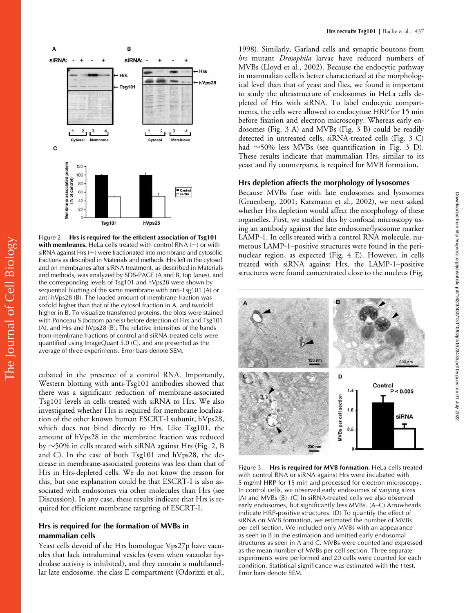

Figure 2. **Hrs is required for the efficient association of Tsg101 with membranes.** HeLa cells treated with control RNA  $(-)$  or with siRNA against Hrs  $(+)$  were fractionated into membrane and cytosolic fractions as described in Materials and methods. Hrs left in the cytosol and on membranes after siRNA treatment, as described in Materials and methods, was analyzed by SDS-PAGE (A and B, top lanes), and the corresponding levels of Tsg101 and hVps28 were shown by sequential blotting of the same membrane with anti-Tsg101 (A) or anti-hVps28 (B). The loaded amount of membrane fraction was sixfold higher than that of the cytosol fraction in A, and twofold higher in B. To visualize transferred proteins, the blots were stained with Ponceau S (bottom panels) before detection of Hrs and Tsg101 (A), and Hrs and hVps28 (B). The relative intensities of the bands from membrane fractions of control and siRNA-treated cells were quantified using ImageQuant 5.0 (C), and are presented as the average of three experiments. Error bars denote SEM.

cubated in the presence of a control RNA. Importantly, Western blotting with anti-Tsg101 antibodies showed that there was a significant reduction of membrane-associated Tsg101 levels in cells treated with siRNA to Hrs. We also investigated whether Hrs is required for membrane localization of the other known human ESCRT-I subunit, hVps28, which does not bind directly to Hrs. Like Tsg101, the amount of hVps28 in the membrane fraction was reduced by  $\sim$ 50% in cells treated with siRNA against Hrs (Fig. 2, B and C). In the case of both Tsg101 and hVps28, the decrease in membrane-associated proteins was less than that of Hrs in Hrs-depleted cells. We do not know the reason for this, but one explanation could be that ESCRT-I is also associated with endosomes via other molecules than Hrs (see Discussion). In any case, these results indicate that Hrs is required for efficient membrane targeting of ESCRT-I.

## **Hrs is required for the formation of MVBs in mammalian cells**

Yeast cells devoid of the Hrs homologue Vps27p have vacuoles that lack intraluminal vesicles (even when vacuolar hydrolase activity is inhibited), and they contain a multilamellar late endosome, the class E compartment (Odorizzi et al.,

1998). Similarly, Garland cells and synaptic boutons from *hrs* mutant *Drosophila* larvae have reduced numbers of MVBs (Lloyd et al., 2002). Because the endocytic pathway in mammalian cells is better characterized at the morphological level than that of yeast and flies, we found it important to study the ultrastructure of endosomes in HeLa cells depleted of Hrs with siRNA. To label endocytic compartments, the cells were allowed to endocytose HRP for 15 min before fixation and electron microscopy. Whereas early endosomes (Fig. 3 A) and MVBs (Fig. 3 B) could be readily detected in untreated cells, siRNA-treated cells (Fig. 3 C) had  $\sim$ 50% less MVBs (see quantification in Fig. 3 D). These results indicate that mammalian Hrs, similar to its yeast and fly counterparts, is required for MVB formation.

## **Hrs depletion affects the morphology of lysosomes**

Because MVBs fuse with late endosomes and lysosomes (Gruenberg, 2001; Katzmann et al., 2002), we next asked whether Hrs depletion would affect the morphology of these organelles. First, we studied this by confocal microscopy using an antibody against the late endosome/lysosome marker LAMP-1. In cells treated with a control RNA molecule, numerous LAMP-1–positive structures were found in the perinuclear region, as expected (Fig. 4 E). However, in cells treated with siRNA against Hrs, the LAMP-1–positive structures were found concentrated close to the nucleus (Fig.



Figure 3. **Hrs is required for MVB formation.** HeLa cells treated with control RNA or siRNA against Hrs were incubated with 5 mg/ml HRP for 15 min and processed for electron microscopy. In control cells, we observed early endosomes of varying sizes (A) and MVBs (B). (C) In siRNA-treated cells we also observed early endosomes, but significantly less MVBs. (A–C) Arrowheads indicate HRP-positive structures. (D) To quantify the effect of siRNA on MVB formation, we estimated the number of MVBs per cell section. We included only MVBs with an appearance as seen in B in the estimation and omitted early endosomal structures as seen in A and C. MVBs were counted and expressed as the mean number of MVBs per cell section. Three separate experiments were performed and 20 cells were counted for each condition. Statistical significance was estimated with the *t* test. Error bars denote SEM.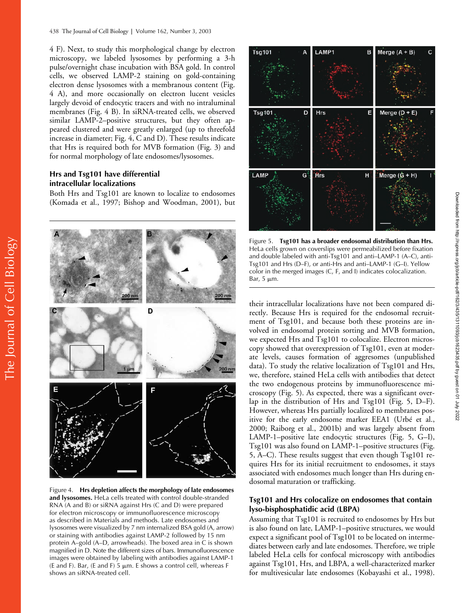4 F). Next, to study this morphological change by electron microscopy, we labeled lysosomes by performing a 3-h pulse/overnight chase incubation with BSA gold. In control cells, we observed LAMP-2 staining on gold-containing electron dense lysosomes with a membranous content (Fig. 4 A), and more occasionally on electron lucent vesicles largely devoid of endocytic tracers and with no intraluminal membranes (Fig. 4 B). In siRNA-treated cells, we observed similar LAMP-2–positive structures, but they often appeared clustered and were greatly enlarged (up to threefold increase in diameter; Fig. 4, C and D). These results indicate that Hrs is required both for MVB formation (Fig. 3) and for normal morphology of late endosomes/lysosomes.

# **Hrs and Tsg101 have differential intracellular localizations**

Both Hrs and Tsg101 are known to localize to endosomes (Komada et al., 1997; Bishop and Woodman, 2001), but



Figure 4. **Hrs depletion affects the morphology of late endosomes and lysosomes.** HeLa cells treated with control double-stranded RNA (A and B) or siRNA against Hrs (C and D) were prepared for electron microscopy or immunofluorescence microscopy as described in Materials and methods. Late endosomes and lysosomes were visualized by 7 nm internalized BSA gold (A, arrow) or staining with antibodies against LAMP-2 followed by 15 nm protein A–gold (A–D, arrowheads). The boxed area in C is shown magnified in D. Note the different sizes of bars. Immunofluorescence images were obtained by labeling with antibodies against LAMP-1 (E and F). Bar, (E and F) 5  $\mu$ m. E shows a control cell, whereas F shows an siRNA-treated cell.



Figure 5. **Tsg101 has a broader endosomal distribution than Hrs.** HeLa cells grown on coverslips were permeabilized before fixation and double labeled with anti-Tsg101 and anti–LAMP-1 (A–C), anti-Tsg101 and Hrs (D–F), or anti-Hrs and anti–LAMP-1 (G–I). Yellow color in the merged images (C, F, and I) indicates colocalization. Bar,  $5 \mu m$ .

their intracellular localizations have not been compared directly. Because Hrs is required for the endosomal recruitment of Tsg101, and because both these proteins are involved in endosomal protein sorting and MVB formation, we expected Hrs and Tsg101 to colocalize. Electron microscopy showed that overexpression of Tsg101, even at moderate levels, causes formation of aggresomes (unpublished data). To study the relative localization of Tsg101 and Hrs, we, therefore, stained HeLa cells with antibodies that detect the two endogenous proteins by immunofluorescence microscopy (Fig. 5). As expected, there was a significant overlap in the distribution of Hrs and Tsg101 (Fig. 5, D–F). However, whereas Hrs partially localized to membranes positive for the early endosome marker EEA1 (Urbé et al., 2000; Raiborg et al., 2001b) and was largely absent from LAMP-1–positive late endocytic structures (Fig. 5, G–I), Tsg101 was also found on LAMP-1–positive structures (Fig. 5, A–C). These results suggest that even though Tsg101 requires Hrs for its initial recruitment to endosomes, it stays associated with endosomes much longer than Hrs during endosomal maturation or trafficking.

## **Tsg101 and Hrs colocalize on endosomes that contain lyso-bisphosphatidic acid (LBPA)**

Assuming that Tsg101 is recruited to endosomes by Hrs but is also found on late, LAMP-1–positive structures, we would expect a significant pool of Tsg101 to be located on intermediates between early and late endosomes. Therefore, we triple labeled HeLa cells for confocal microscopy with antibodies against Tsg101, Hrs, and LBPA, a well-characterized marker for multivesicular late endosomes (Kobayashi et al., 1998).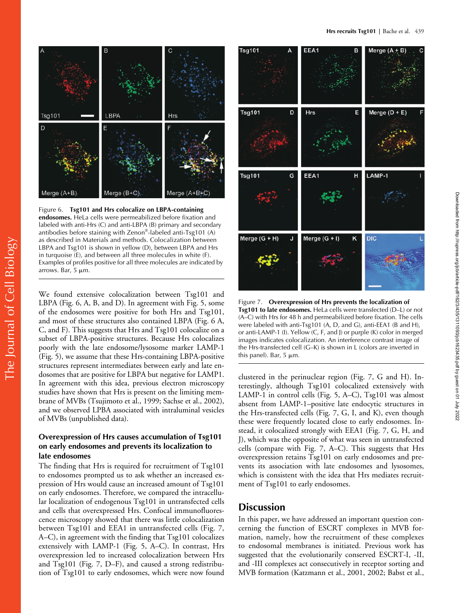

Figure 6. **Tsg101 and Hrs colocalize on LBPA-containing endosomes.** HeLa cells were permeabilized before fixation and labeled with anti-Hrs (C) and anti-LBPA (B) primary and secondary antibodies before staining with Zenon®-labeled anti-Tsg101 (A) as described in Materials and methods. Colocalization between LBPA and Tsg101 is shown in yellow (D), between LBPA and Hrs in turquoise (E), and between all three molecules in white (F). Examples of profiles positive for all three molecules are indicated by arrows. Bar,  $5 \mu m$ .

We found extensive colocalization between Tsg101 and LBPA (Fig. 6, A, B, and D). In agreement with Fig. 5, some of the endosomes were positive for both Hrs and Tsg101, and most of these structures also contained LBPA (Fig. 6 A, C, and F). This suggests that Hrs and Tsg101 colocalize on a subset of LBPA-positive structures. Because Hrs colocalizes poorly with the late endosome/lysosome marker LAMP-1 (Fig. 5), we assume that these Hrs-containing LBPA-positive structures represent intermediates between early and late endosomes that are positive for LBPA but negative for LAMP1. In agreement with this idea, previous electron microscopy studies have shown that Hrs is present on the limiting membrane of MVBs (Tsujimoto et al., 1999; Sachse et al., 2002), and we observed LPBA associated with intraluminal vesicles of MVBs (unpublished data).

# **Overexpression of Hrs causes accumulation of Tsg101 on early endosomes and prevents its localization to late endosomes**

The finding that Hrs is required for recruitment of Tsg101 to endosomes prompted us to ask whether an increased expression of Hrs would cause an increased amount of Tsg101 on early endosomes. Therefore, we compared the intracellular localization of endogenous Tsg101 in untransfected cells and cells that overexpressed Hrs. Confocal immunofluorescence microscopy showed that there was little colocalization between Tsg101 and EEA1 in untransfected cells (Fig. 7, A–C), in agreement with the finding that Tsg101 colocalizes extensively with LAMP-1 (Fig. 5, A–C). In contrast, Hrs overexpression led to increased colocalization between Hrs and Tsg101 (Fig. 7, D–F), and caused a strong redistribution of Tsg101 to early endosomes, which were now found



Figure 7. **Overexpression of Hrs prevents the localization of Tsg101 to late endosomes.** HeLa cells were transfected (D–L) or not (A–C) with Hrs for 48 h and permeabilized before fixation. The cells were labeled with anti-Tsg101 (A, D, and G), anti-EEA1 (B and H), or anti-LAMP-1 (I). Yellow (C, F, and J) or purple (K) color in merged images indicates colocalization. An interference contrast image of the Hrs-transfected cell (G–K) is shown in L (colors are inverted in this panel). Bar,  $5 \mu m$ .

Downloaded from http://rupress.org/jcb/article-pdf/162/3/435/1311093/jcb1623435.pdf by guest on 01 July 2022

Downloaded from http://rupress.org/jcb/article-pdf/162/3/435/1311093/jcb1623435.pdf by guest on 01 July 2022

clustered in the perinuclear region (Fig. 7, G and H). Interestingly, although Tsg101 colocalized extensively with LAMP-1 in control cells (Fig. 5, A–C), Tsg101 was almost absent from LAMP-1–positive late endocytic structures in the Hrs-transfected cells (Fig. 7, G, I, and K), even though these were frequently located close to early endosomes. Instead, it colocalized strongly with EEA1 (Fig. 7, G, H, and J), which was the opposite of what was seen in untransfected cells (compare with Fig. 7, A–C). This suggests that Hrs overexpression retains Tsg101 on early endosomes and prevents its association with late endosomes and lysosomes, which is consistent with the idea that Hrs mediates recruitment of Tsg101 to early endosomes.

# **Discussion**

In this paper, we have addressed an important question concerning the function of ESCRT complexes in MVB formation, namely, how the recruitment of these complexes to endosomal membranes is initiated. Previous work has suggested that the evolutionarily conserved ESCRT-I, -II, and -III complexes act consecutively in receptor sorting and MVB formation (Katzmann et al., 2001, 2002; Babst et al.,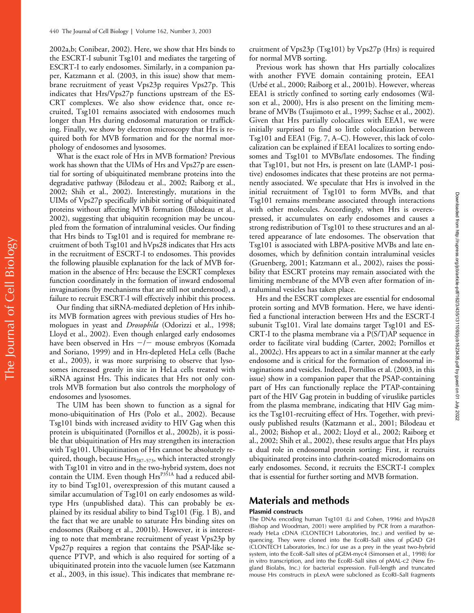2002a,b; Conibear, 2002). Here, we show that Hrs binds to the ESCRT-I subunit Tsg101 and mediates the targeting of ESCRT-I to early endosomes. Similarly, in a companion paper, Katzmann et al. (2003, in this issue) show that membrane recruitment of yeast Vps23p requires Vps27p. This indicates that Hrs/Vps27p functions upstream of the ES-CRT complexes. We also show evidence that, once recruited, Tsg101 remains associated with endosomes much longer than Hrs during endosomal maturation or trafficking. Finally, we show by electron microscopy that Hrs is required both for MVB formation and for the normal morphology of endosomes and lysosomes.

What is the exact role of Hrs in MVB formation? Previous work has shown that the UIMs of Hrs and Vps27p are essential for sorting of ubiquitinated membrane proteins into the degradative pathway (Bilodeau et al., 2002; Raiborg et al., 2002; Shih et al., 2002). Interestingly, mutations in the UIMs of Vps27p specifically inhibit sorting of ubiquitinated proteins without affecting MVB formation (Bilodeau et al., 2002), suggesting that ubiquitin recognition may be uncoupled from the formation of intraluminal vesicles. Our finding that Hrs binds to Tsg101 and is required for membrane recruitment of both Tsg101 and hVps28 indicates that Hrs acts in the recruitment of ESCRT-I to endosomes. This provides the following plausible explanation for the lack of MVB formation in the absence of Hrs: because the ESCRT complexes function coordinately in the formation of inward endosomal invaginations (by mechanisms that are still not understood), a failure to recruit ESCRT-I will effectively inhibit this process.

Our finding that siRNA-mediated depletion of Hrs inhibits MVB formation agrees with previous studies of Hrs homologues in yeast and *Drosophila* (Odorizzi et al., 1998; Lloyd et al., 2002). Even though enlarged early endosomes have been observed in Hrs  $-\bar{\prime}$  mouse embryos (Komada and Soriano, 1999) and in Hrs-depleted HeLa cells (Bache et al., 2003), it was more surprising to observe that lysosomes increased greatly in size in HeLa cells treated with siRNA against Hrs. This indicates that Hrs not only controls MVB formation but also controls the morphology of endosomes and lysosomes.

The UIM has been shown to function as a signal for mono-ubiquitination of Hrs (Polo et al., 2002). Because Tsg101 binds with increased avidity to HIV Gag when this protein is ubiquitinated (Pornillos et al., 2002b), it is possible that ubiquitination of Hrs may strengthen its interaction with Tsg101. Ubiquitination of Hrs cannot be absolutely required, though, because Hrs<sub>287-573</sub>, which interacted strongly with Tsg101 in vitro and in the two-hybrid system, does not contain the UIM. Even though  $Hrs^{P351A}$  had a reduced ability to bind Tsg101, overexpression of this mutant caused a similar accumulation of Tsg101 on early endosomes as wildtype Hrs (unpublished data). This can probably be explained by its residual ability to bind Tsg101 (Fig. 1 B), and the fact that we are unable to saturate Hrs binding sites on endosomes (Raiborg et al., 2001b). However, it is interesting to note that membrane recruitment of yeast Vps23p by Vps27p requires a region that contains the PSAP-like sequence PTVP, and which is also required for sorting of a ubiquitinated protein into the vacuole lumen (see Katzmann et al., 2003, in this issue). This indicates that membrane recruitment of Vps23p (Tsg101) by Vps27p (Hrs) is required for normal MVB sorting.

Previous work has shown that Hrs partially colocalizes with another FYVE domain containing protein, EEA1 (Urbé et al., 2000; Raiborg et al., 2001b). However, whereas EEA1 is strictly confined to sorting early endosomes (Wilson et al., 2000), Hrs is also present on the limiting membrane of MVBs (Tsujimoto et al., 1999; Sachse et al., 2002). Given that Hrs partially colocalizes with EEA1, we were initially surprised to find so little colocalization between Tsg101 and EEA1 (Fig. 7, A–C). However, this lack of colocalization can be explained if EEA1 localizes to sorting endosomes and Tsg101 to MVBs/late endosomes. The finding that Tsg101, but not Hrs, is present on late (LAMP-1 positive) endosomes indicates that these proteins are not permanently associated. We speculate that Hrs is involved in the initial recruitment of Tsg101 to form MVBs, and that Tsg101 remains membrane associated through interactions with other molecules. Accordingly, when Hrs is overexpressed, it accumulates on early endosomes and causes a strong redistribution of Tsg101 to these structures and an altered appearance of late endosomes. The observation that Tsg101 is associated with LBPA-positive MVBs and late endosomes, which by definition contain intraluminal vesicles (Gruenberg, 2001; Katzmann et al., 2002), raises the possibility that ESCRT proteins may remain associated with the limiting membrane of the MVB even after formation of intraluminal vesicles has taken place.

Hrs and the ESCRT complexes are essential for endosomal protein sorting and MVB formation. Here, we have identified a functional interaction between Hrs and the ESCRT-I subunit Tsg101. Viral late domains target Tsg101 and ES-CRT-I to the plasma membrane via a P(S/T)AP sequence in order to facilitate viral budding (Carter, 2002; Pornillos et al., 2002c). Hrs appears to act in a similar manner at the early endosome and is critical for the formation of endosomal invaginations and vesicles. Indeed, Pornillos et al. (2003, in this issue) show in a companion paper that the PSAP-containing part of Hrs can functionally replace the PTAP-containing part of the HIV Gag protein in budding of viruslike particles from the plasma membrane, indicating that HIV Gag mimics the Tsg101-recruiting effect of Hrs. Together, with previously published results (Katzmann et al., 2001; Bilodeau et al., 2002; Bishop et al., 2002; Lloyd et al., 2002; Raiborg et al., 2002; Shih et al., 2002), these results argue that Hrs plays a dual role in endosomal protein sorting: First, it recruits ubiquitinated proteins into clathrin-coated microdomains on early endosomes. Second, it recruits the ESCRT-I complex that is essential for further sorting and MVB formation.

# **Materials and methods**

## **Plasmid constructs**

The DNAs encoding human Tsg101 (Li and Cohen, 1996) and hVps28 (Bishop and Woodman, 2001) were amplified by PCR from a marathonready HeLa cDNA (CLONTECH Laboratories, Inc.) and verified by sequencing. They were cloned into the EcoRI-SalI sites of pGAD GH (CLONTECH Laboratories, Inc.) for use as a prey in the yeast two-hybrid system, into the EcoR–SalI sites of pGEM-myc4 (Simonsen et al., 1998) for in vitro transcription, and into the EcoRI–SalI sites of pMAL-c2 (New England Biolabs, Inc.) for bacterial expression. Full-length and truncated mouse Hrs constructs in pLexA were subcloned as EcoRI–SalI fragments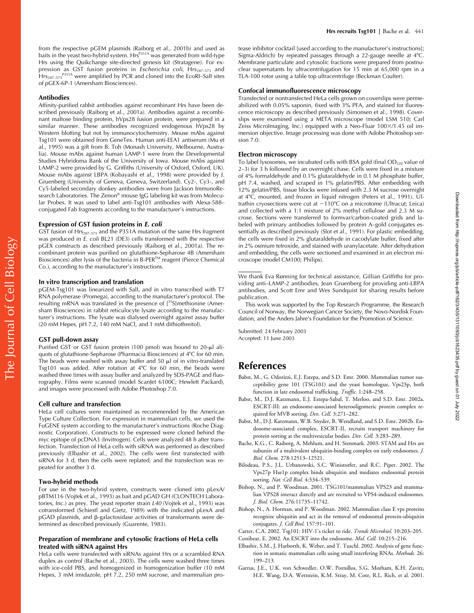#### **Antibodies**

Affinity-purified rabbit antibodies against recombinant Hrs have been described previously (Raiborg et al., 2001a). Antibodies against a recombinant maltose binding protein, hVps28 fusion protein, were prepared in a similar manner. These antibodies recognized endogenous hVps28 by Western blotting but not by immunocytochemistry. Mouse mAbs against Tsg101 were obtained from GeneTex. Human anti-EEA1 antiserum (Mu et al., 1995) was a gift from B. Toh (Monash University, Melbourne, Australia). Mouse mAbs against human LAMP-1 were from the Developmental Studies Hybridoma Bank of the University of Iowa. Mouse mAbs against LAMP-2 were provided by G. Griffiths (University of Oxford, Oxford, UK). Mouse mAbs against LBPA (Kobayashi et al., 1998) were provided by J. Gruenberg (University of Geneva, Geneva, Switzerland). Cy2-, Cy3-, and Cy5-labeled secondary donkey antibodies were from Jackson ImmunoResearch Laboratories. The Zenon® mouse IgG labeling kit was from Molecular Probes. It was used to label anti-Tsg101 antibodies with Alexa-588– conjugated Fab fragments according to the manufacturer's instructions.

## **Expression of GST fusion proteins in** *E. coli*

GST fusion of Hrs<sub>287-573</sub> and the P351A mutation of the same Hrs fragment was produced in *E. coli* BL21 (DE3) cells transformed with the respective pGEX constructs as described previously (Raiborg et al., 2001a). The recombinant protein was purified on glutathione-Sepharose 4B (Amersham Biosciences) after lysis of the bacteria in B-PER™ reagent (Pierce Chemical Co.), according to the manufacturer's instructions.

### **In vitro transcription and translation**

pGEM-Tsg101 was linearized with SalI, and in vitro transcribed with T7 RNA polymerase (Promega), according to the manufacturer's protocol. The resulting mRNA was translated in the presence of [35S]methionine (Amersham Biosciences) in rabbit reticulocyte lysate according to the manufacturer's instructions. The lysate was dialysed overnight against assay buffer (20 mM Hepes, pH 7.2, 140 mM NaCl, and 1 mM dithiothreitol).

#### **GST pull-down assay**

Purified GST or GST fusion protein (100 pmol) was bound to 20-µl aliquots of glutathione-Sepharose (Pharmacia Biosciences) at 4C for 60 min. The beads were washed with assay buffer and 50  $\mu$ l of in vitro-translated Tsg101 was added. After rotation at  $4^{\circ}$ C for 60 min, the beads were washed three times with assay buffer and analyzed by SDS-PAGE and fluorography. Films were scanned (model ScanJet 6100C; Hewlett Packard), and images were processed with Adobe Photoshop 7.0.

#### **Cell culture and transfection**

HeLa cell cultures were maintained as recommended by the American Type Culture Collection. For expression in mammalian cells, we used the FuGENE system according to the manufacturer's instructions (Roche Diagnostic Corporation). Constructs to be expressed were cloned behind the myc epitope of pcDNA3 (Invitrogen). Cells were analyzed 48 h after transfection. Transfection of HeLa cells with siRNA was performed as described previously (Elbashir et al., 2002). The cells were first transfected with siRNA for 3 d, then the cells were replated, and the transfection was repeated for another 3 d.

## **Two-hybrid methods**

For use in the two-hybrid system, constructs were cloned into pLexA/ pBTM116 (Vojtek et al., 1993) as bait and pGAD GH (CLONTECH Laboratories, Inc.) as prey. The yeast reporter strain *L40* (Vojtek et al., 1993) was cotransformed (Schiestl and Gietz, 1989) with the indicated pLexA and pGAD plasmids, and β-galactosidase activities of transformants were determined as described previously (Guarente, 1983).

## **Preparation of membrane and cytosolic fractions of HeLa cells treated with siRNA against Hrs**

HeLa cells were transfected with siRNAs against Hrs or a scrambled RNA duplex as control (Bache et al., 2003). The cells were washed three times with ice-cold PBS, and homogenized in homogenization buffer (10 mM Hepes, 3 mM imidazole, pH 7.2, 250 mM sucrose, and mammalian protease inhibitor cocktail [used according to the manufacturer's instructions]; Sigma-Aldrich) by repeated passages through a 22-gauge needle at 4°C. Membrane particulate and cytosolic fractions were prepared from postnuclear supernatants by ultracentrifugation for 15 min at 65,000 rpm in a TLA-100 rotor using a table top ultracentrifuge (Beckman Coulter).

#### **Confocal immunofluorescence microscopy**

Transfected or nontransfected HeLa cells grown on coverslips were permeabilized with 0.05% saponin, fixed with 3% PFA, and stained for fluorescence microscopy as described previously (Simonsen et al., 1998). Coverslips were examined using a META microscope (model LSM 510; Carl Zeiss MicroImaging, Inc.) equipped with a Neo-Fluar 100×/1.45 oil immersion objective. Image processing was done with Adobe Photoshop version 7.0.

#### **Electron microscopy**

To label lysosomes, we incubated cells with BSA gold (final OD<sub>520</sub> value of 2–3) for 3 h followed by an overnight chase. Cells were fixed in a mixture of 4% formaldehyde and 0.1% glutaraldehyde in 0.1 M phosphate buffer, pH 7.4, washed, and scraped in 1% gelatin/PBS. After embedding with 12% gelatin/PBS, tissue blocks were infused with 2.3 M sucrose overnight at 4°C, mounted, and frozen in liquid nitrogen (Peters et al., 1991). Ultrathin cryosections were cut at  $-110^{\circ}$ C on a microtome (Ultracut; Leica) and collected with a 1:1 mixture of 2% methyl cellulose and 2.3 M sucrose. Sections were transferred to formvar/carbon-coated grids and labeled with primary antibodies followed by protein A–gold conjugates essentially as described previously (Slot et al., 1991). For plastic embedding, the cells were fixed in 2% glutaraldehyde in cacodylate buffer, fixed after in 2% osmium tetroxide, and stained with uranylacetate. After dehydration and embedding, the cells were sectioned and examined in an electron microscope (model CM100; Philips).

#### We thank Eva Rønning for technical assistance, Gillian Griffiths for providing anti–LAMP-2 antibodies, Jean Gruenberg for providing anti-LBPA antibodies, and Scott Emr and Wes Sundquist for sharing results before publication.

This work was supported by the Top Research Programme, the Research Council of Norway, the Norwegian Cancer Society, the Novo-Nordisk Foundation, and the Anders Jahre's Foundation for the Promotion of Science.

Submitted: 24 February 2003 Accepted: 11 June 2003

# **References**

- Babst, M., G. Odorizzi, E.J. Estepa, and S.D. Emr. 2000. Mammalian tumor susceptibility gene 101 (TSG101) and the yeast homologue, Vps23p, both function in late endosomal trafficking. *Traffic.* 1:248–258.
- Babst, M., D.J. Katzmann, E.J. Estepa-Sabal, T. Merloo, and S.D. Emr. 2002a. ESCRT-III: an endosome-associated heterooligomeric protein complex required for MVB sorting. *Dev. Cell.* 3:271–282.
- Babst, M., D.J. Katzmann, W.B. Snyder, B. Wendland, and S.D. Emr. 2002b. Endosome-associated complex, ESCRT-II, recruits transport machinery for protein sorting at the multivesicular bodies. *Dev. Cell.* 3:283–289.
- Bache, K.G., C. Raiborg, A. Mehlum, and H. Stenmark. 2003. STAM and Hrs are subunits of a multivalent ubiquitin-binding complex on early endosomes. *J. Biol. Chem.* 278:12513–12521.
- Bilodeau, P.S., J.L. Urbanowski, S.C. Winistorfer, and R.C. Piper. 2002. The Vps27p Hse1p complex binds ubiquitin and mediates endosomal protein sorting. *Nat. Cell Biol.* 4:534–539.
- Bishop, N., and P. Woodman. 2001. TSG101/mammalian VPS23 and mammalian VPS28 interact directly and are recruited to VPS4-induced endosomes. *J. Biol. Chem.* 276:11735–11742.
- Bishop, N., A. Horman, and P. Woodman. 2002. Mammalian class E vps proteins recognize ubiquitin and act in the removal of endosomal protein-ubiquitin conjugates. *J. Cell Biol.* 157:91–101.
- Carter, C.A. 2002. Tsg101: HIV-1's ticket to ride. *Trends Microbiol.* 10:203–205. Conibear, E. 2002. An ESCRT into the endosome. *Mol. Cell.* 10:215–216.
- Elbashir, S.M., J. Harborth, K. Weber, and T. Tuschl. 2002. Analysis of gene function in somatic mammalian cells using small interfering RNAs. *Methods.* 26: 199–213.
- Garrus, J.E., U.K. von Schwedler, O.W. Pornillos, S.G. Morham, K.H. Zavitz, H.E. Wang, D.A. Wettstein, K.M. Stray, M. Cote, R.L. Rich, et al. 2001.